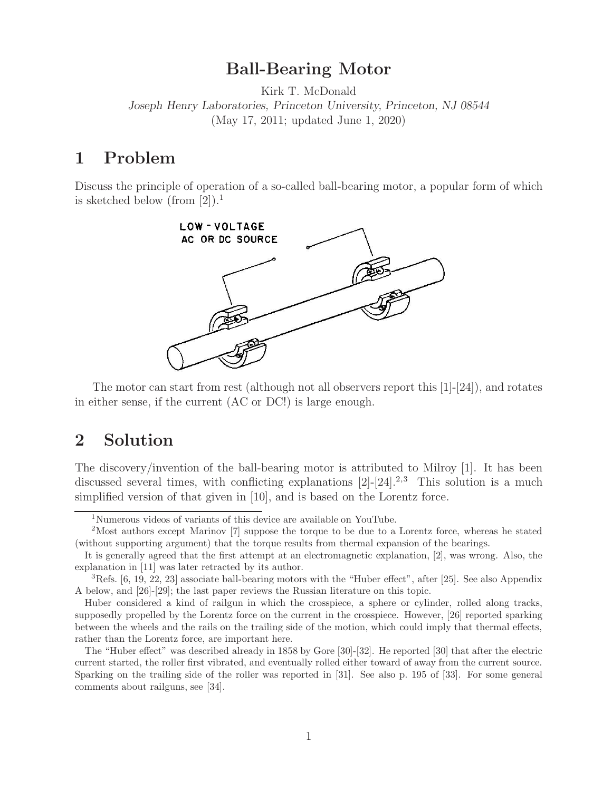## **Ball-Bearing Motor**

Kirk T. McDonald *Joseph Henry Laboratories, Princeton University, Princeton, NJ 08544* (May 17, 2011; updated June 1, 2020)

### **1 Problem**

Discuss the principle of operation of a so-called ball-bearing motor, a popular form of which is sketched below (from  $[2]$ ).<sup>1</sup>



The motor can start from rest (although not all observers report this [1]-[24]), and rotates in either sense, if the current (AC or DC!) is large enough.

### **2 Solution**

The discovery/invention of the ball-bearing motor is attributed to Milroy [1]. It has been discussed several times, with conflicting explanations  $[2]-[24].^{2,3}$  This solution is a much simplified version of that given in [10], and is based on the Lorentz force.

<sup>1</sup>Numerous videos of variants of this device are available on YouTube.

<sup>2</sup>Most authors except Marinov [7] suppose the torque to be due to a Lorentz force, whereas he stated (without supporting argument) that the torque results from thermal expansion of the bearings.

It is generally agreed that the first attempt at an electromagnetic explanation, [2], was wrong. Also, the explanation in [11] was later retracted by its author.

 ${}^{3}$ Refs. [6, 19, 22, 23] associate ball-bearing motors with the "Huber effect", after [25]. See also Appendix A below, and [26]-[29]; the last paper reviews the Russian literature on this topic.

Huber considered a kind of railgun in which the crosspiece, a sphere or cylinder, rolled along tracks, supposedly propelled by the Lorentz force on the current in the crosspiece. However, [26] reported sparking between the wheels and the rails on the trailing side of the motion, which could imply that thermal effects, rather than the Lorentz force, are important here.

The "Huber effect" was described already in 1858 by Gore [30]-[32]. He reported [30] that after the electric current started, the roller first vibrated, and eventually rolled either toward of away from the current source. Sparking on the trailing side of the roller was reported in [31]. See also p. 195 of [33]. For some general comments about railguns, see [34].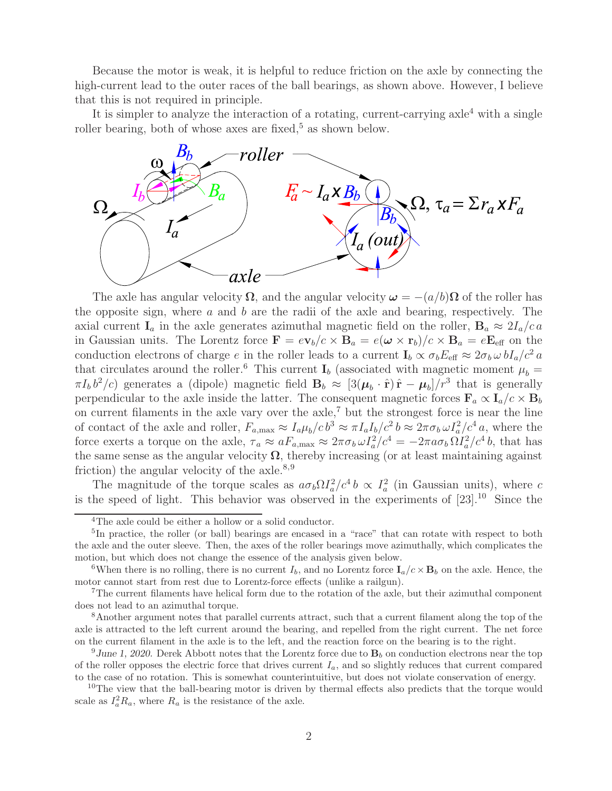Because the motor is weak, it is helpful to reduce friction on the axle by connecting the high-current lead to the outer races of the ball bearings, as shown above. However, I believe that this is not required in principle.

It is simpler to analyze the interaction of a rotating, current-carrying  $axle<sup>4</sup>$  with a single roller bearing, both of whose axes are fixed,<sup>5</sup> as shown below.



The axle has angular velocity  $\Omega$ , and the angular velocity  $\omega = -(a/b)\Omega$  of the roller has the opposite sign, where  $a$  and  $b$  are the radii of the axle and bearing, respectively. The axial current  $I_a$  in the axle generates azimuthal magnetic field on the roller,  $B_a \approx 2I_a/c a$ in Gaussian units. The Lorentz force  $\mathbf{F} = e\mathbf{v}_b/c \times \mathbf{B}_a = e(\boldsymbol{\omega} \times \mathbf{r}_b)/c \times \mathbf{B}_a = e\mathbf{E}_{\text{eff}}$  on the conduction electrons of charge e in the roller leads to a current  $I_b \propto \sigma_b E_{\text{eff}} \approx 2\sigma_b \omega b I_a/c^2 a$ that circulates around the roller.<sup>6</sup> This current  $I_b$  (associated with magnetic moment  $\mu_b =$  $\pi I_b b^2/c$  generates a (dipole) magnetic field  $\mathbf{B}_b \approx [3(\mu_b \cdot \hat{\mathbf{r}}) \hat{\mathbf{r}} - \mu_b]/r^3$  that is generally perpendicular to the axle inside the latter. The consequent magnetic forces  $\mathbf{F}_a \propto \mathbf{I}_a/c \times \mathbf{B}_b$ on current filaments in the axle vary over the  $axle<sub>i</sub><sup>7</sup>$  but the strongest force is near the line of contact of the axle and roller,  $F_{a,\text{max}} \approx I_a \mu_b / c b^3 \approx \pi I_a I_b / c^2 b \approx 2 \pi \sigma_b \omega I_a^2 / c^4 a$ , where the force exerts a torque on the axle,  $\tau_a \approx a F_{a,\text{max}} \approx 2\pi \sigma_b \omega I_a^2/c^4 = -2\pi a \sigma_b \Omega I_a^2/c^4 b$ , that has the same sense as the angular velocity  $\Omega$ , thereby increasing (or at least maintaining against friction) the angular velocity of the  $axle.^{8,9}$ 

The magnitude of the torque scales as  $a\sigma_b \Omega I_a^2/c^4 b \propto I_a^2$  (in Gaussian units), where c is the speed of light. This behavior was observed in the experiments of  $[23]$ .<sup>10</sup> Since the

<sup>4</sup>The axle could be either a hollow or a solid conductor.

<sup>&</sup>lt;sup>5</sup>In practice, the roller (or ball) bearings are encased in a "race" that can rotate with respect to both the axle and the outer sleeve. Then, the axes of the roller bearings move azimuthally, which complicates the motion, but which does not change the essence of the analysis given below.

<sup>&</sup>lt;sup>6</sup>When there is no rolling, there is no current  $I_b$ , and no Lorentz force  $\mathbf{I}_a/c \times \mathbf{B}_b$  on the axle. Hence, the motor cannot start from rest due to Lorentz-force effects (unlike a railgun).

<sup>7</sup>The current filaments have helical form due to the rotation of the axle, but their azimuthal component does not lead to an azimuthal torque.

<sup>8</sup>Another argument notes that parallel currents attract, such that a current filament along the top of the axle is attracted to the left current around the bearing, and repelled from the right current. The net force on the current filament in the axle is to the left, and the reaction force on the bearing is to the right.

<sup>&</sup>lt;sup>9</sup>June 1, 2020. Derek Abbott notes that the Lorentz force due to  $\mathbf{B}_b$  on conduction electrons near the top of the roller opposes the electric force that drives current  $I_a$ , and so slightly reduces that current compared to the case of no rotation. This is somewhat counterintuitive, but does not violate conservation of energy.

<sup>&</sup>lt;sup>10</sup>The view that the ball-bearing motor is driven by thermal effects also predicts that the torque would scale as  $I_a^2 R_a$ , where  $R_a$  is the resistance of the axle.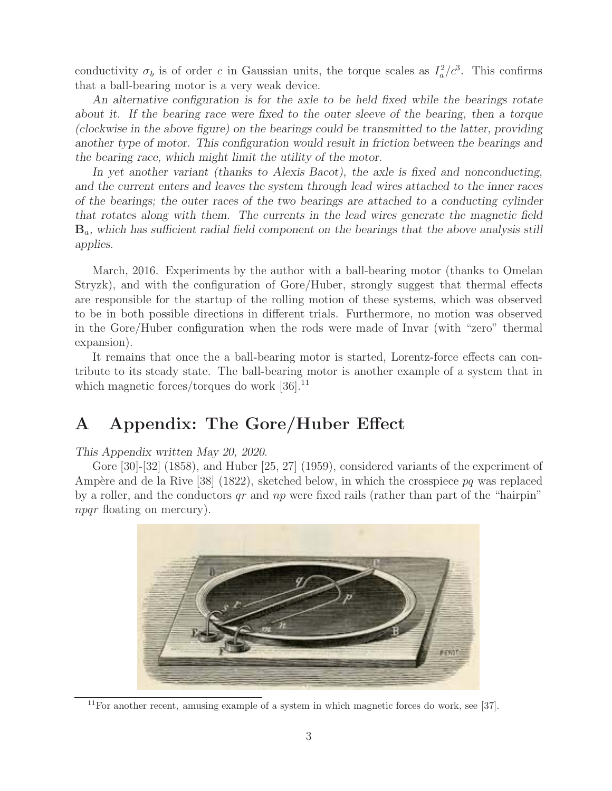conductivity  $\sigma_b$  is of order c in Gaussian units, the torque scales as  $I_a^2/c^3$ . This confirms that a ball-bearing motor is a very weak device.

*An alternative configuration is for the axle to be held fixed while the bearings rotate about it. If the bearing race were fixed to the outer sleeve of the bearing, then a torque (clockwise in the above figure) on the bearings could be transmitted to the latter, providing another type of motor. This configuration would result in friction between the bearings and the bearing race, which might limit the utility of the motor.*

*In yet another variant (thanks to Alexis Bacot), the axle is fixed and nonconducting, and the current enters and leaves the system through lead wires attached to the inner races of the bearings; the outer races of the two bearings are attached to a conducting cylinder that rotates along with them. The currents in the lead wires generate the magnetic field* **B***a, which has sufficient radial field component on the bearings that the above analysis still applies.*

March, 2016. Experiments by the author with a ball-bearing motor (thanks to Omelan Stryzk), and with the configuration of Gore/Huber, strongly suggest that thermal effects are responsible for the startup of the rolling motion of these systems, which was observed to be in both possible directions in different trials. Furthermore, no motion was observed in the Gore/Huber configuration when the rods were made of Invar (with "zero" thermal expansion).

It remains that once the a ball-bearing motor is started, Lorentz-force effects can contribute to its steady state. The ball-bearing motor is another example of a system that in which magnetic forces/torques do work  $[36]$ <sup>11</sup>

# **A Appendix: The Gore/Huber Effect**

#### *This Appendix written May 20, 2020.*

Gore [30]-[32] (1858), and Huber [25, 27] (1959), considered variants of the experiment of Ampère and de la Rive [38] (1822), sketched below, in which the crosspiece  $pq$  was replaced by a roller, and the conductors  $qr$  and  $np$  were fixed rails (rather than part of the "hairpin" npqr floating on mercury).



 $11$ For another recent, amusing example of a system in which magnetic forces do work, see [37].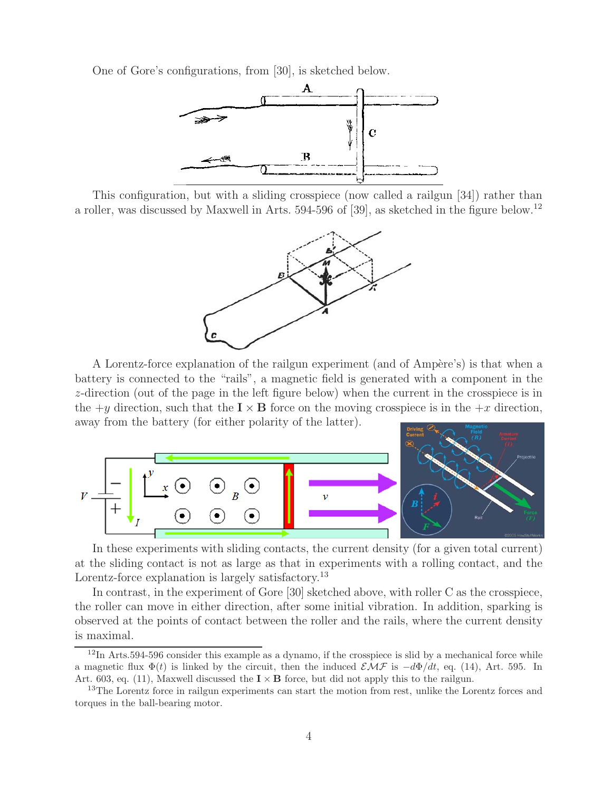One of Gore's configurations, from [30], is sketched below.



This configuration, but with a sliding crosspiece (now called a railgun [34]) rather than a roller, was discussed by Maxwell in Arts. 594-596 of [39], as sketched in the figure below.<sup>12</sup>



A Lorentz-force explanation of the railgun experiment (and of Ampère's) is that when a battery is connected to the "rails", a magnetic field is generated with a component in the z-direction (out of the page in the left figure below) when the current in the crosspiece is in the  $+y$  direction, such that the  $\mathbf{I} \times \mathbf{B}$  force on the moving crosspiece is in the  $+x$  direction, away from the battery (for either polarity of the latter).



In these experiments with sliding contacts, the current density (for a given total current) at the sliding contact is not as large as that in experiments with a rolling contact, and the Lorentz-force explanation is largely satisfactory.<sup>13</sup>

In contrast, in the experiment of Gore [30] sketched above, with roller C as the crosspiece, the roller can move in either direction, after some initial vibration. In addition, sparking is observed at the points of contact between the roller and the rails, where the current density is maximal.

 $12$ In Arts.594-596 consider this example as a dynamo, if the crosspiece is slid by a mechanical force while a magnetic flux  $\Phi(t)$  is linked by the circuit, then the induced  $\mathcal{EMF}$  is  $-d\Phi/dt$ , eq. (14), Art. 595. In Art. 603, eq. (11), Maxwell discussed the  $\mathbf{I} \times \mathbf{B}$  force, but did not apply this to the railgun.

<sup>&</sup>lt;sup>13</sup>The Lorentz force in railgun experiments can start the motion from rest, unlike the Lorentz forces and torques in the ball-bearing motor.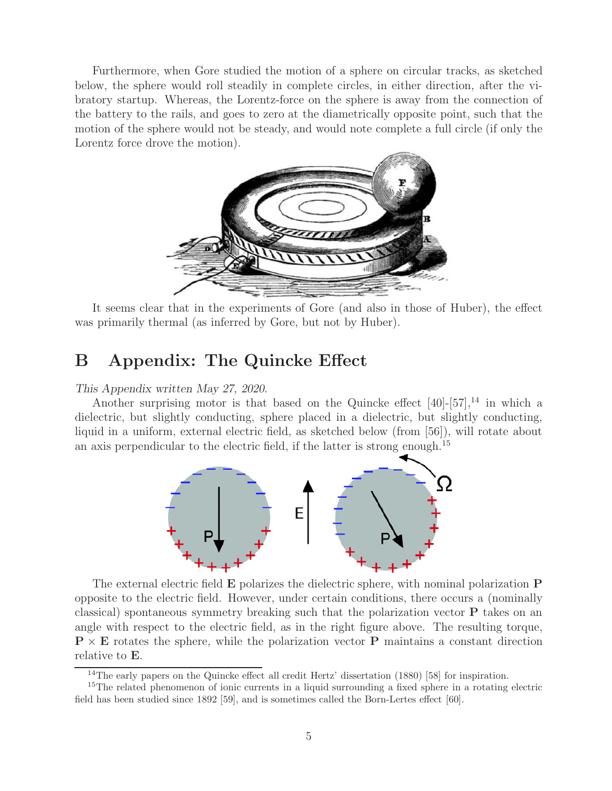Furthermore, when Gore studied the motion of a sphere on circular tracks, as sketched below, the sphere would roll steadily in complete circles, in either direction, after the vibratory startup. Whereas, the Lorentz-force on the sphere is away from the connection of the battery to the rails, and goes to zero at the diametrically opposite point, such that the motion of the sphere would not be steady, and would note complete a full circle (if only the Lorentz force drove the motion).



It seems clear that in the experiments of Gore (and also in those of Huber), the effect was primarily thermal (as inferred by Gore, but not by Huber).

## **B Appendix: The Quincke Effect**

#### *This Appendix written May 27, 2020.*

Another surprising motor is that based on the Quincke effect  $[40]$ - $[57]$ ,<sup>14</sup> in which a dielectric, but slightly conducting, sphere placed in a dielectric, but slightly conducting, liquid in a uniform, external electric field, as sketched below (from [56]), will rotate about an axis perpendicular to the electric field, if the latter is strong enough.<sup>15</sup>



The external electric field **E** polarizes the dielectric sphere, with nominal polarization **P** opposite to the electric field. However, under certain conditions, there occurs a (nominally classical) spontaneous symmetry breaking such that the polarization vector **P** takes on an angle with respect to the electric field, as in the right figure above. The resulting torque,  $\mathbf{P} \times \mathbf{E}$  rotates the sphere, while the polarization vector **P** maintains a constant direction relative to **E**.

<sup>&</sup>lt;sup>14</sup>The early papers on the Quincke effect all credit Hertz' dissertation (1880) [58] for inspiration.

<sup>&</sup>lt;sup>15</sup>The related phenomenon of ionic currents in a liquid surrounding a fixed sphere in a rotating electric field has been studied since 1892 [59], and is sometimes called the Born-Lertes effect [60].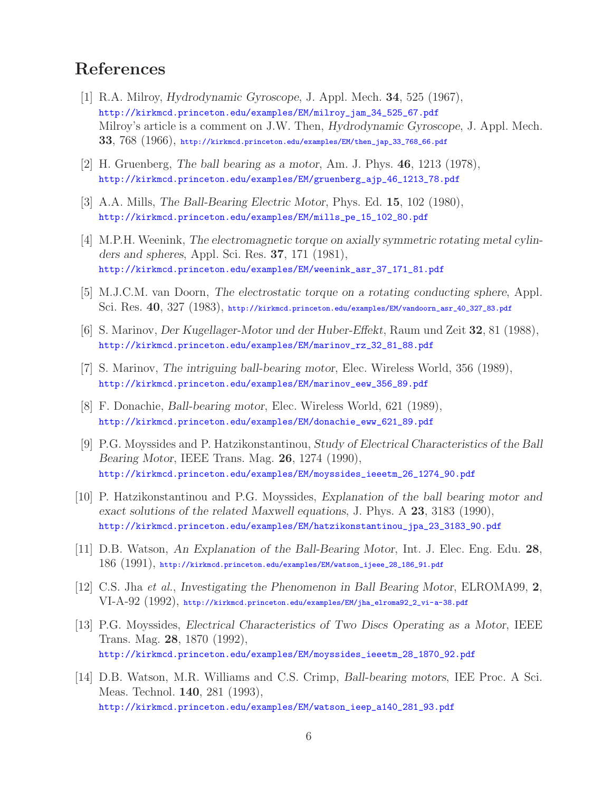# **References**

- [1] R.A. Milroy, *Hydrodynamic Gyroscope*, J. Appl. Mech. **34**, 525 (1967), http://kirkmcd.princeton.edu/examples/EM/milroy\_jam\_34\_525\_67.pdf Milroy's article is a comment on J.W. Then, *Hydrodynamic Gyroscope*, J. Appl. Mech. **33**, 768 (1966), http://kirkmcd.princeton.edu/examples/EM/then\_jap\_33\_768\_66.pdf
- [2] H. Gruenberg, *The ball bearing as a motor*, Am. J. Phys. **46**, 1213 (1978), http://kirkmcd.princeton.edu/examples/EM/gruenberg\_ajp\_46\_1213\_78.pdf
- [3] A.A. Mills, *The Ball-Bearing Electric Motor*, Phys. Ed. **15**, 102 (1980), http://kirkmcd.princeton.edu/examples/EM/mills\_pe\_15\_102\_80.pdf
- [4] M.P.H. Weenink, *The electromagnetic torque on axially symmetric rotating metal cylinders and spheres*, Appl. Sci. Res. **37**, 171 (1981), http://kirkmcd.princeton.edu/examples/EM/weenink\_asr\_37\_171\_81.pdf
- [5] M.J.C.M. van Doorn, *The electrostatic torque on a rotating conducting sphere*, Appl. Sci. Res. **40**, 327 (1983), http://kirkmcd.princeton.edu/examples/EM/vandoorn\_asr\_40\_327\_83.pdf
- [6] S. Marinov, *Der Kugellager-Motor und der Huber-Effekt*, Raum und Zeit **32**, 81 (1988), http://kirkmcd.princeton.edu/examples/EM/marinov\_rz\_32\_81\_88.pdf
- [7] S. Marinov, *The intriguing ball-bearing motor*, Elec. Wireless World, 356 (1989), http://kirkmcd.princeton.edu/examples/EM/marinov\_eew\_356\_89.pdf
- [8] F. Donachie, *Ball-bearing motor*, Elec. Wireless World, 621 (1989), http://kirkmcd.princeton.edu/examples/EM/donachie\_eww\_621\_89.pdf
- [9] P.G. Moyssides and P. Hatzikonstantinou, *Study of Electrical Characteristics of the Ball Bearing Motor*, IEEE Trans. Mag. **26**, 1274 (1990), http://kirkmcd.princeton.edu/examples/EM/moyssides\_ieeetm\_26\_1274\_90.pdf
- [10] P. Hatzikonstantinou and P.G. Moyssides, *Explanation of the ball bearing motor and exact solutions of the related Maxwell equations*, J. Phys. A **23**, 3183 (1990), http://kirkmcd.princeton.edu/examples/EM/hatzikonstantinou\_jpa\_23\_3183\_90.pdf
- [11] D.B. Watson, *An Explanation of the Ball-Bearing Motor*, Int. J. Elec. Eng. Edu. **28**, 186 (1991), http://kirkmcd.princeton.edu/examples/EM/watson\_ijeee\_28\_186\_91.pdf
- [12] C.S. Jha *et al.*, *Investigating the Phenomenon in Ball Bearing Motor*, ELROMA99, **2**, VI-A-92 (1992), http://kirkmcd.princeton.edu/examples/EM/jha\_elroma92\_2\_vi-a-38.pdf
- [13] P.G. Moyssides, *Electrical Characteristics of Two Discs Operating as a Motor*, IEEE Trans. Mag. **28**, 1870 (1992), http://kirkmcd.princeton.edu/examples/EM/moyssides\_ieeetm\_28\_1870\_92.pdf
- [14] D.B. Watson, M.R. Williams and C.S. Crimp, *Ball-bearing motors*, IEE Proc. A Sci. Meas. Technol. **140**, 281 (1993), http://kirkmcd.princeton.edu/examples/EM/watson\_ieep\_a140\_281\_93.pdf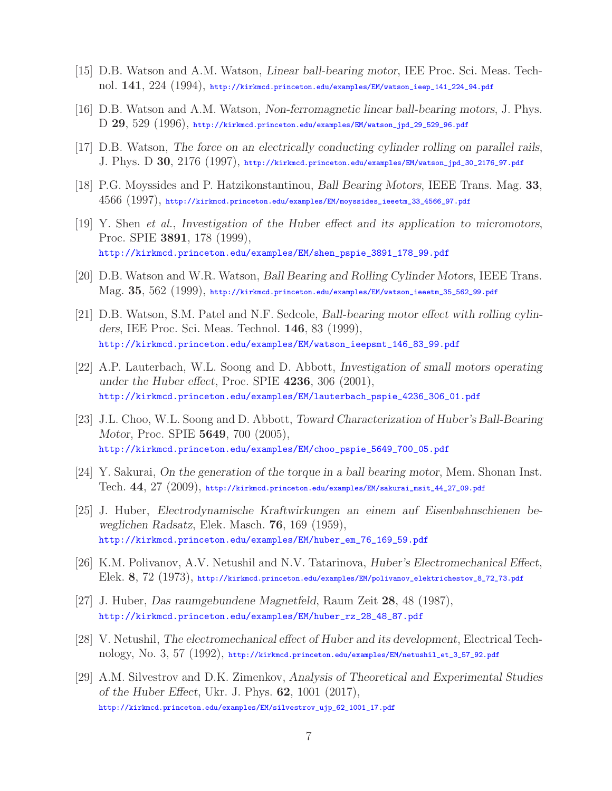- [15] D.B. Watson and A.M. Watson, *Linear ball-bearing motor*, IEE Proc. Sci. Meas. Technol. **141**, 224 (1994), http://kirkmcd.princeton.edu/examples/EM/watson\_ieep\_141\_224\_94.pdf
- [16] D.B. Watson and A.M. Watson, *Non-ferromagnetic linear ball-bearing motors*, J. Phys. D **29**, 529 (1996), http://kirkmcd.princeton.edu/examples/EM/watson\_jpd\_29\_529\_96.pdf
- [17] D.B. Watson, *The force on an electrically conducting cylinder rolling on parallel rails*, J. Phys. D **30**, 2176 (1997), http://kirkmcd.princeton.edu/examples/EM/watson\_jpd\_30\_2176\_97.pdf
- [18] P.G. Moyssides and P. Hatzikonstantinou, *Ball Bearing Motors*, IEEE Trans. Mag. **33**, 4566 (1997), http://kirkmcd.princeton.edu/examples/EM/moyssides\_ieeetm\_33\_4566\_97.pdf
- [19] Y. Shen *et al.*, *Investigation of the Huber effect and its application to micromotors*, Proc. SPIE **3891**, 178 (1999), http://kirkmcd.princeton.edu/examples/EM/shen\_pspie\_3891\_178\_99.pdf
- [20] D.B. Watson and W.R. Watson, *Ball Bearing and Rolling Cylinder Motors*, IEEE Trans. Mag. **35**, 562 (1999), http://kirkmcd.princeton.edu/examples/EM/watson\_ieeetm\_35\_562\_99.pdf
- [21] D.B. Watson, S.M. Patel and N.F. Sedcole, *Ball-bearing motor effect with rolling cylinders*, IEE Proc. Sci. Meas. Technol. **146**, 83 (1999), http://kirkmcd.princeton.edu/examples/EM/watson\_ieepsmt\_146\_83\_99.pdf
- [22] A.P. Lauterbach, W.L. Soong and D. Abbott, *Investigation of small motors operating under the Huber effect*, Proc. SPIE **4236**, 306 (2001), http://kirkmcd.princeton.edu/examples/EM/lauterbach\_pspie\_4236\_306\_01.pdf
- [23] J.L. Choo, W.L. Soong and D. Abbott, *Toward Characterization of Huber's Ball-Bearing Motor*, Proc. SPIE **5649**, 700 (2005), http://kirkmcd.princeton.edu/examples/EM/choo\_pspie\_5649\_700\_05.pdf
- [24] Y. Sakurai, *On the generation of the torque in a ball bearing motor*, Mem. Shonan Inst. Tech. **44**, 27 (2009), http://kirkmcd.princeton.edu/examples/EM/sakurai\_msit\_44\_27\_09.pdf
- [25] J. Huber, *Electrodynamische Kraftwirkungen an einem auf Eisenbahnschienen beweglichen Radsatz*, Elek. Masch. **76**, 169 (1959), http://kirkmcd.princeton.edu/examples/EM/huber\_em\_76\_169\_59.pdf
- [26] K.M. Polivanov, A.V. Netushil and N.V. Tatarinova, *Huber's Electromechanical Effect*, Elek. **8**, 72 (1973), http://kirkmcd.princeton.edu/examples/EM/polivanov\_elektrichestov\_8\_72\_73.pdf
- [27] J. Huber, *Das raumgebundene Magnetfeld*, Raum Zeit **28**, 48 (1987), http://kirkmcd.princeton.edu/examples/EM/huber\_rz\_28\_48\_87.pdf
- [28] V. Netushil, *The electromechanical effect of Huber and its development*, Electrical Technology, No. 3, 57 (1992), http://kirkmcd.princeton.edu/examples/EM/netushil\_et\_3\_57\_92.pdf
- [29] A.M. Silvestrov and D.K. Zimenkov, *Analysis of Theoretical and Experimental Studies of the Huber Effect*, Ukr. J. Phys. **62**, 1001 (2017), http://kirkmcd.princeton.edu/examples/EM/silvestrov\_ujp\_62\_1001\_17.pdf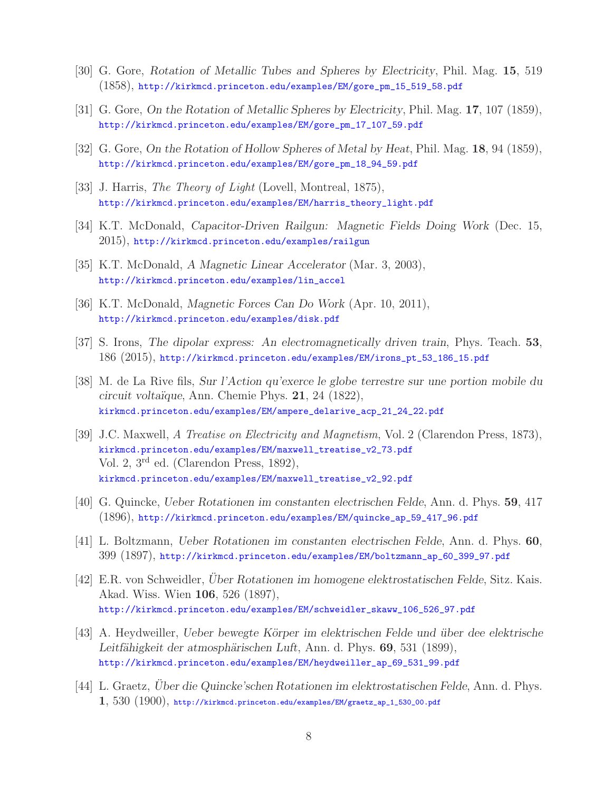- [30] G. Gore, *Rotation of Metallic Tubes and Spheres by Electricity*, Phil. Mag. **15**, 519 (1858), http://kirkmcd.princeton.edu/examples/EM/gore\_pm\_15\_519\_58.pdf
- [31] G. Gore, *On the Rotation of Metallic Spheres by Electricity*, Phil. Mag. **17**, 107 (1859), http://kirkmcd.princeton.edu/examples/EM/gore\_pm\_17\_107\_59.pdf
- [32] G. Gore, *On the Rotation of Hollow Spheres of Metal by Heat*, Phil. Mag. **18**, 94 (1859), http://kirkmcd.princeton.edu/examples/EM/gore\_pm\_18\_94\_59.pdf
- [33] J. Harris, *The Theory of Light* (Lovell, Montreal, 1875), http://kirkmcd.princeton.edu/examples/EM/harris\_theory\_light.pdf
- [34] K.T. McDonald, *Capacitor-Driven Railgun: Magnetic Fields Doing Work* (Dec. 15, 2015), http://kirkmcd.princeton.edu/examples/railgun
- [35] K.T. McDonald, *A Magnetic Linear Accelerator* (Mar. 3, 2003), http://kirkmcd.princeton.edu/examples/lin\_accel
- [36] K.T. McDonald, *Magnetic Forces Can Do Work* (Apr. 10, 2011), http://kirkmcd.princeton.edu/examples/disk.pdf
- [37] S. Irons, *The dipolar express: An electromagnetically driven train*, Phys. Teach. **53**, 186 (2015), http://kirkmcd.princeton.edu/examples/EM/irons\_pt\_53\_186\_15.pdf
- [38] M. de La Rive fils, *Sur l'Action qu'exerce le globe terrestre sur une portion mobile du circuit volta¨ıque*, Ann. Chemie Phys. **21**, 24 (1822), kirkmcd.princeton.edu/examples/EM/ampere\_delarive\_acp\_21\_24\_22.pdf
- [39] J.C. Maxwell, *A Treatise on Electricity and Magnetism*, Vol. 2 (Clarendon Press, 1873), kirkmcd.princeton.edu/examples/EM/maxwell\_treatise\_v2\_73.pdf Vol. 2, 3rd ed. (Clarendon Press, 1892), kirkmcd.princeton.edu/examples/EM/maxwell\_treatise\_v2\_92.pdf
- [40] G. Quincke, *Ueber Rotationen im constanten electrischen Felde*, Ann. d. Phys. **59**, 417 (1896), http://kirkmcd.princeton.edu/examples/EM/quincke\_ap\_59\_417\_96.pdf
- [41] L. Boltzmann, *Ueber Rotationen im constanten electrischen Felde*, Ann. d. Phys. **60**, 399 (1897), http://kirkmcd.princeton.edu/examples/EM/boltzmann\_ap\_60\_399\_97.pdf
- [42] E.R. von Schweidler, *Über Rotationen im homogene elektrostatischen Felde*, Sitz. Kais. Akad. Wiss. Wien **106**, 526 (1897), http://kirkmcd.princeton.edu/examples/EM/schweidler\_skaww\_106\_526\_97.pdf
- [43] A. Heydweiller, *Ueber bewegte K¨orper im elektrischen Felde und ¨uber dee elektrische Leitfähigkeit der atmosphärischen Luft*, Ann. d. Phys. **69**, 531 (1899), http://kirkmcd.princeton.edu/examples/EM/heydweiller\_ap\_69\_531\_99.pdf
- [44] L. Graetz, *Über die Quincke'schen Rotationen im elektrostatischen Felde*, Ann. d. Phys. **1**, 530 (1900), http://kirkmcd.princeton.edu/examples/EM/graetz\_ap\_1\_530\_00.pdf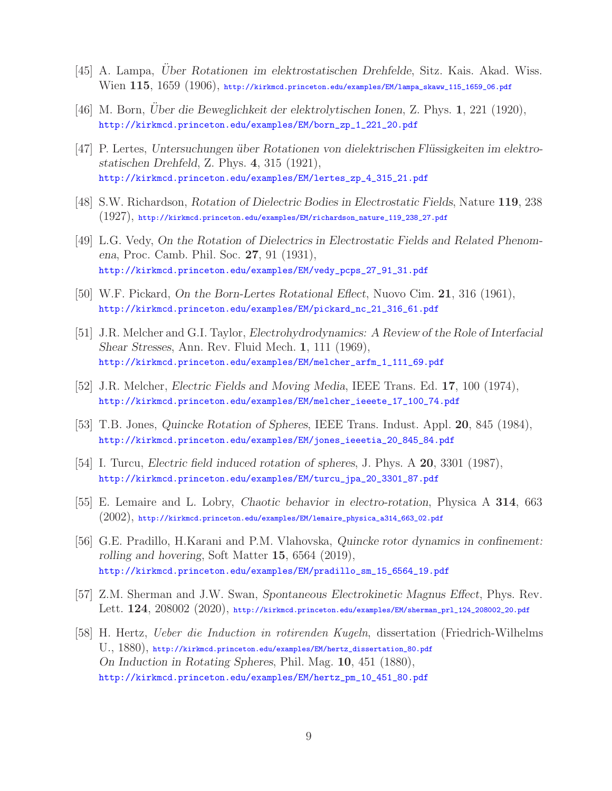- [45] A. Lampa, *Uber Rotationen im elektrostatischen Drehfelde*, Sitz. Kais. Akad. Wiss. Wien **115**, 1659 (1906), http://kirkmcd.princeton.edu/examples/EM/lampa\_skaww\_115\_1659\_06.pdf
- [46] M. Born, *Uber die Beweglichkeit der elektrolytischen Ionen*, Z. Phys. 1, 221 (1920), http://kirkmcd.princeton.edu/examples/EM/born\_zp\_1\_221\_20.pdf
- [47] P. Lertes, Untersuchungen über Rotationen von dielektrischen Flüssigkeiten im elektro*statischen Drehfeld*, Z. Phys. **4**, 315 (1921), http://kirkmcd.princeton.edu/examples/EM/lertes\_zp\_4\_315\_21.pdf
- [48] S.W. Richardson, *Rotation of Dielectric Bodies in Electrostatic Fields*, Nature **119**, 238 (1927), http://kirkmcd.princeton.edu/examples/EM/richardson\_nature\_119\_238\_27.pdf
- [49] L.G. Vedy, *On the Rotation of Dielectrics in Electrostatic Fields and Related Phenomena*, Proc. Camb. Phil. Soc. **27**, 91 (1931), http://kirkmcd.princeton.edu/examples/EM/vedy\_pcps\_27\_91\_31.pdf
- [50] W.F. Pickard, *On the Born-Lertes Rotational Eflect*, Nuovo Cim. **21**, 316 (1961), http://kirkmcd.princeton.edu/examples/EM/pickard\_nc\_21\_316\_61.pdf
- [51] J.R. Melcher and G.I. Taylor, *Electrohydrodynamics: A Review of the Role of Interfacial Shear Stresses*, Ann. Rev. Fluid Mech. **1**, 111 (1969), http://kirkmcd.princeton.edu/examples/EM/melcher\_arfm\_1\_111\_69.pdf
- [52] J.R. Melcher, *Electric Fields and Moving Media*, IEEE Trans. Ed. **17**, 100 (1974), http://kirkmcd.princeton.edu/examples/EM/melcher\_ieeete\_17\_100\_74.pdf
- [53] T.B. Jones, *Quincke Rotation of Spheres*, IEEE Trans. Indust. Appl. **20**, 845 (1984), http://kirkmcd.princeton.edu/examples/EM/jones\_ieeetia\_20\_845\_84.pdf
- [54] I. Turcu, *Electric field induced rotation of spheres*, J. Phys. A **20**, 3301 (1987), http://kirkmcd.princeton.edu/examples/EM/turcu\_jpa\_20\_3301\_87.pdf
- [55] E. Lemaire and L. Lobry, *Chaotic behavior in electro-rotation*, Physica A **314**, 663  $(2002)$ , http://kirkmcd.princeton.edu/examples/EM/lemaire\_physica\_a314\_663\_02.pdf
- [56] G.E. Pradillo, H.Karani and P.M. Vlahovska, *Quincke rotor dynamics in confinement: rolling and hovering*, Soft Matter **15**, 6564 (2019), http://kirkmcd.princeton.edu/examples/EM/pradillo\_sm\_15\_6564\_19.pdf
- [57] Z.M. Sherman and J.W. Swan, *Spontaneous Electrokinetic Magnus Effect*, Phys. Rev. Lett. **124**, 208002 (2020), http://kirkmcd.princeton.edu/examples/EM/sherman\_prl\_124\_208002\_20.pdf
- [58] H. Hertz, *Ueber die Induction in rotirenden Kugeln*, dissertation (Friedrich-Wilhelms U., 1880), http://kirkmcd.princeton.edu/examples/EM/hertz\_dissertation\_80.pdf *On Induction in Rotating Spheres*, Phil. Mag. **10**, 451 (1880), http://kirkmcd.princeton.edu/examples/EM/hertz\_pm\_10\_451\_80.pdf